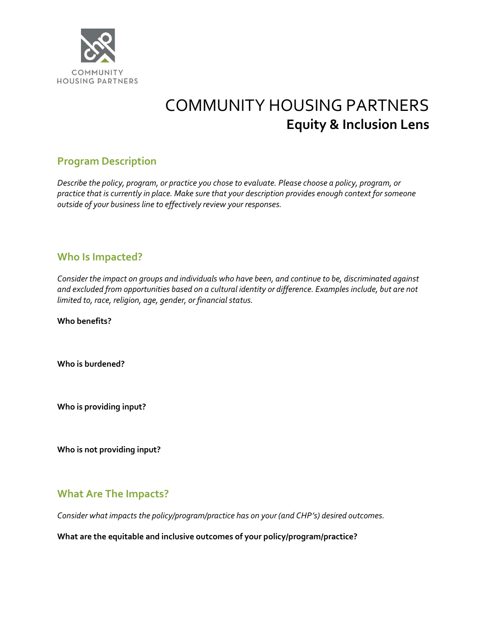

# COMMUNITY HOUSING PARTNERS **Equity & Inclusion Lens**

## **Program Description**

*Describe the policy, program, or practice you chose to evaluate. Please choose a policy, program, or practice that is currently in place. Make sure that your description provides enough context for someone outside of your business line to effectively review your responses.* 

#### **Who Is Impacted?**

*Consider the impact on groups and individuals who have been, and continue to be, discriminated against and excluded from opportunities based on a cultural identity or difference. Examples include, but are not limited to, race, religion, age, gender, or financial status.* 

**Who benefits?**

**Who is burdened?**

**Who is providing input?**

**Who is not providing input?**

### **What Are The Impacts?**

*Consider what impacts the policy/program/practice has on your (and CHP's) desired outcomes.* 

**What are the equitable and inclusive outcomes of your policy/program/practice?**